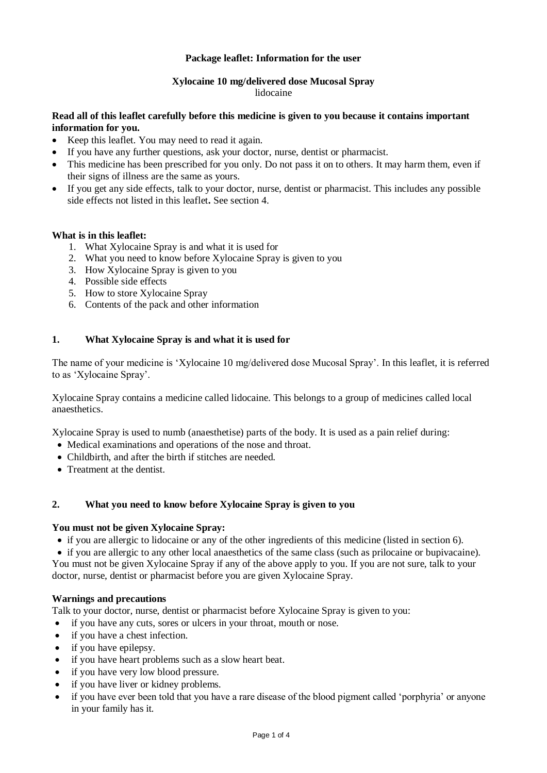# **Package leaflet: Information for the user**

#### **Xylocaine 10 mg/delivered dose Mucosal Spray** lidocaine

### **Read all of this leaflet carefully before this medicine is given to you because it contains important information for you.**

- Keep this leaflet. You may need to read it again.
- If you have any further questions, ask your doctor, nurse, dentist or pharmacist.
- This medicine has been prescribed for you only. Do not pass it on to others. It may harm them, even if their signs of illness are the same as yours.
- If you get any side effects, talk to your doctor, nurse, dentist or pharmacist. This includes any possible side effects not listed in this leaflet**.** See section 4.

#### **What is in this leaflet:**

- 1. What Xylocaine Spray is and what it is used for
- 2. What you need to know before Xylocaine Spray is given to you
- 3. How Xylocaine Spray is given to you
- 4. Possible side effects
- 5. How to store Xylocaine Spray
- 6. Contents of the pack and other information

## **1. What Xylocaine Spray is and what it is used for**

The name of your medicine is 'Xylocaine 10 mg/delivered dose Mucosal Spray'. In this leaflet, it is referred to as 'Xylocaine Spray'.

Xylocaine Spray contains a medicine called lidocaine. This belongs to a group of medicines called local anaesthetics.

Xylocaine Spray is used to numb (anaesthetise) parts of the body. It is used as a pain relief during:

- Medical examinations and operations of the nose and throat.
- Childbirth, and after the birth if stitches are needed.
- Treatment at the dentist.

## **2. What you need to know before Xylocaine Spray is given to you**

#### **You must not be given Xylocaine Spray:**

- if you are allergic to lidocaine or any of the other ingredients of this medicine (listed in section 6).
- if you are allergic to any other local anaesthetics of the same class (such as prilocaine or bupivacaine). You must not be given Xylocaine Spray if any of the above apply to you. If you are not sure, talk to your

doctor, nurse, dentist or pharmacist before you are given Xylocaine Spray.

#### **Warnings and precautions**

Talk to your doctor, nurse, dentist or pharmacist before Xylocaine Spray is given to you:

- if you have any cuts, sores or ulcers in your throat, mouth or nose.
- if you have a chest infection.
- if you have epilepsy.
- if you have heart problems such as a slow heart beat.
- if you have very low blood pressure.
- if you have liver or kidney problems.
- if you have ever been told that you have a rare disease of the blood pigment called 'porphyria' or anyone in your family has it.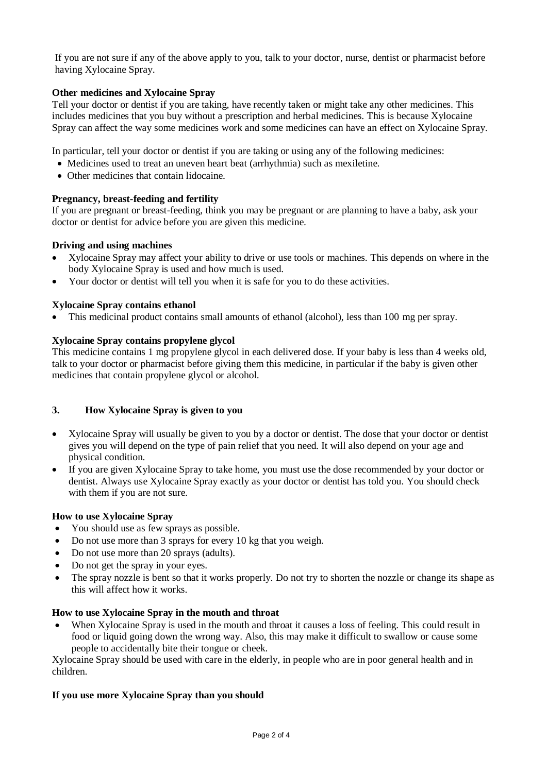If you are not sure if any of the above apply to you, talk to your doctor, nurse, dentist or pharmacist before having Xylocaine Spray.

## **Other medicines and Xylocaine Spray**

Tell your doctor or dentist if you are taking, have recently taken or might take any other medicines. This includes medicines that you buy without a prescription and herbal medicines. This is because Xylocaine Spray can affect the way some medicines work and some medicines can have an effect on Xylocaine Spray.

In particular, tell your doctor or dentist if you are taking or using any of the following medicines:

- Medicines used to treat an uneven heart beat (arrhythmia) such as mexiletine.
- Other medicines that contain lidocaine.

### **Pregnancy, breast-feeding and fertility**

If you are pregnant or breast-feeding, think you may be pregnant or are planning to have a baby, ask your doctor or dentist for advice before you are given this medicine.

## **Driving and using machines**

- Xylocaine Spray may affect your ability to drive or use tools or machines. This depends on where in the body Xylocaine Spray is used and how much is used.
- Your doctor or dentist will tell you when it is safe for you to do these activities.

#### **Xylocaine Spray contains ethanol**

• This medicinal product contains small amounts of ethanol (alcohol), less than 100 mg per spray.

### **Xylocaine Spray contains propylene glycol**

This medicine contains 1 mg propylene glycol in each delivered dose. If your baby is less than 4 weeks old, talk to your doctor or pharmacist before giving them this medicine, in particular if the baby is given other medicines that contain propylene glycol or alcohol.

#### **3. How Xylocaine Spray is given to you**

- Xylocaine Spray will usually be given to you by a doctor or dentist. The dose that your doctor or dentist gives you will depend on the type of pain relief that you need. It will also depend on your age and physical condition.
- If you are given Xylocaine Spray to take home, you must use the dose recommended by your doctor or dentist. Always use Xylocaine Spray exactly as your doctor or dentist has told you. You should check with them if you are not sure.

#### **How to use Xylocaine Spray**

- You should use as few sprays as possible.
- Do not use more than 3 sprays for every 10 kg that you weigh.
- Do not use more than 20 sprays (adults).
- Do not get the spray in your eyes.
- The spray nozzle is bent so that it works properly. Do not try to shorten the nozzle or change its shape as this will affect how it works.

#### **How to use Xylocaine Spray in the mouth and throat**

 When Xylocaine Spray is used in the mouth and throat it causes a loss of feeling. This could result in food or liquid going down the wrong way. Also, this may make it difficult to swallow or cause some people to accidentally bite their tongue or cheek.

Xylocaine Spray should be used with care in the elderly, in people who are in poor general health and in children.

#### **If you use more Xylocaine Spray than you should**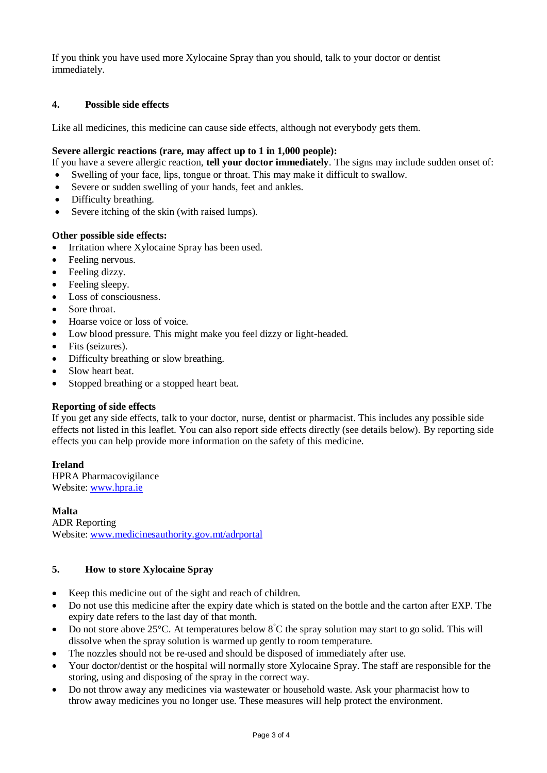If you think you have used more Xylocaine Spray than you should, talk to your doctor or dentist immediately.

# **4. Possible side effects**

Like all medicines, this medicine can cause side effects, although not everybody gets them.

### **Severe allergic reactions (rare, may affect up to 1 in 1,000 people):**

If you have a severe allergic reaction, **tell your doctor immediately**. The signs may include sudden onset of:

- Swelling of your face, lips, tongue or throat. This may make it difficult to swallow.
- Severe or sudden swelling of your hands, feet and ankles.
- Difficulty breathing.
- Severe itching of the skin (with raised lumps).

## **Other possible side effects:**

- Irritation where Xylocaine Spray has been used.
- Feeling nervous.
- Feeling dizzy.
- Feeling sleepy.
- Loss of consciousness.
- Sore throat.
- Hoarse voice or loss of voice.
- Low blood pressure. This might make you feel dizzy or light-headed.
- Fits (seizures).
- Difficulty breathing or slow breathing.
- Slow heart beat.
- Stopped breathing or a stopped heart beat.

#### **Reporting of side effects**

If you get any side effects, talk to your doctor, nurse, dentist or pharmacist. This includes any possible side effects not listed in this leaflet. You can also report side effects directly (see details below). By reporting side effects you can help provide more information on the safety of this medicine.

# **Ireland**

HPRA Pharmacovigilance Website: [www.hpra.ie](http://www.hpra.ie/)

**Malta** ADR Reporting Website: [www.medicinesauthority.gov.mt/adrportal](http://www.medicinesauthority.gov.mt/adrportal)

# **5. How to store Xylocaine Spray**

- Keep this medicine out of the sight and reach of children.
- Do not use this medicine after the expiry date which is stated on the bottle and the carton after EXP. The expiry date refers to the last day of that month.
- Do not store above 25 $\degree$ C. At temperatures below  $\degree$ C the spray solution may start to go solid. This will dissolve when the spray solution is warmed up gently to room temperature.
- The nozzles should not be re-used and should be disposed of immediately after use.
- Your doctor/dentist or the hospital will normally store Xylocaine Spray. The staff are responsible for the storing, using and disposing of the spray in the correct way.
- Do not throw away any medicines via wastewater or household waste. Ask your pharmacist how to throw away medicines you no longer use. These measures will help protect the environment.